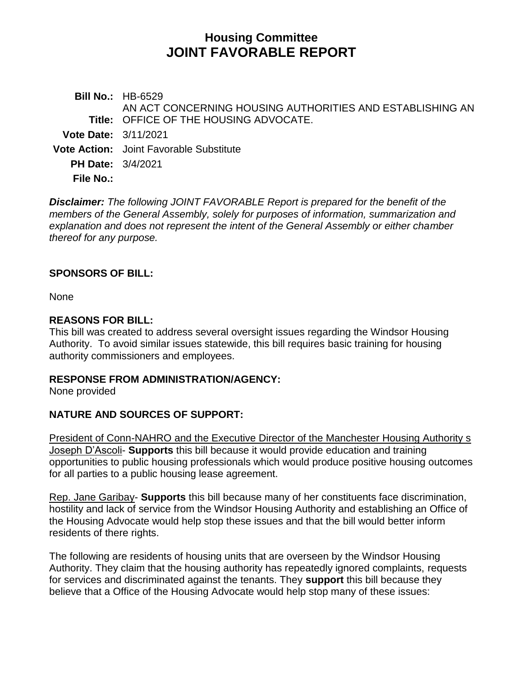# **Housing Committee JOINT FAVORABLE REPORT**

**Bill No.:** HB-6529 **Title:** OFFICE OF THE HOUSING ADVOCATE. AN ACT CONCERNING HOUSING AUTHORITIES AND ESTABLISHING AN **Vote Date:** 3/11/2021 **Vote Action:** Joint Favorable Substitute **PH Date:** 3/4/2021 **File No.:**

*Disclaimer: The following JOINT FAVORABLE Report is prepared for the benefit of the members of the General Assembly, solely for purposes of information, summarization and explanation and does not represent the intent of the General Assembly or either chamber thereof for any purpose.*

### **SPONSORS OF BILL:**

None

### **REASONS FOR BILL:**

This bill was created to address several oversight issues regarding the Windsor Housing Authority. To avoid similar issues statewide, this bill requires basic training for housing authority commissioners and employees.

### **RESPONSE FROM ADMINISTRATION/AGENCY:**

None provided

### **NATURE AND SOURCES OF SUPPORT:**

President of Conn-NAHRO and the Executive Director of the Manchester Housing Authority s Joseph D'Ascoli- **Supports** this bill because it would provide education and training opportunities to public housing professionals which would produce positive housing outcomes for all parties to a public housing lease agreement.

Rep. Jane Garibay- **Supports** this bill because many of her constituents face discrimination, hostility and lack of service from the Windsor Housing Authority and establishing an Office of the Housing Advocate would help stop these issues and that the bill would better inform residents of there rights.

The following are residents of housing units that are overseen by the Windsor Housing Authority. They claim that the housing authority has repeatedly ignored complaints, requests for services and discriminated against the tenants. They **support** this bill because they believe that a Office of the Housing Advocate would help stop many of these issues: